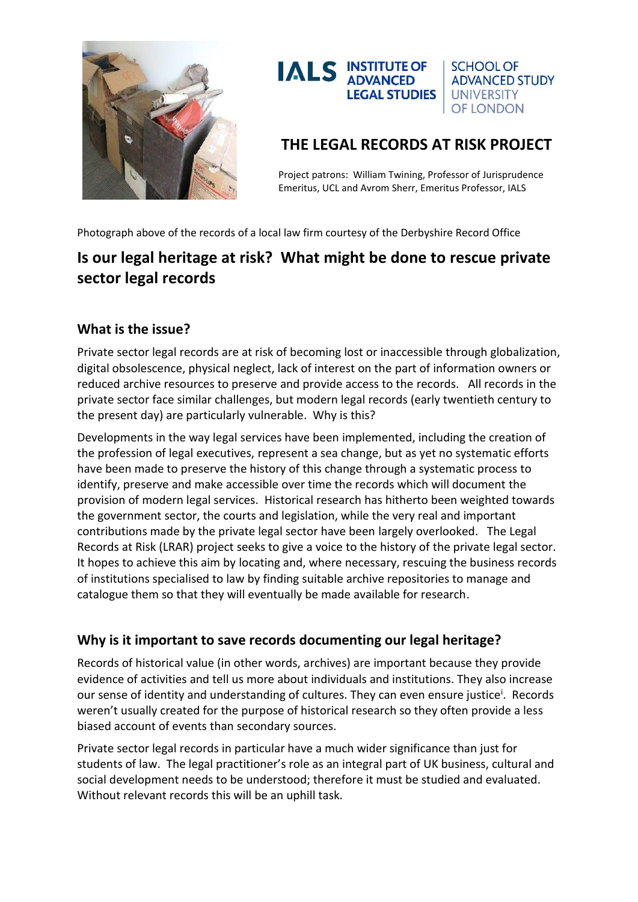



## **THE LEGAL RECORDS AT RISK PROJECT**

Project patrons: William Twining, Professor of Jurisprudence Emeritus, UCL and Avrom Sherr, Emeritus Professor, IALS

Photograph above of the records of a local law firm courtesy of the Derbyshire Record Office

# **Is our legal heritage at risk? What might be done to rescue private sector legal records**

### **What is the issue?**

Private sector legal records are at risk of becoming lost or inaccessible through globalization, digital obsolescence, physical neglect, lack of interest on the part of information owners or reduced archive resources to preserve and provide access to the records. All records in the private sector face similar challenges, but modern legal records (early twentieth century to the present day) are particularly vulnerable. Why is this?

Developments in the way legal services have been implemented, including the creation of the profession of legal executives, represent a sea change, but as yet no systematic efforts have been made to preserve the history of this change through a systematic process to identify, preserve and make accessible over time the records which will document the provision of modern legal services. Historical research has hitherto been weighted towards the government sector, the courts and legislation, while the very real and important contributions made by the private legal sector have been largely overlooked. The Legal Records at Risk (LRAR) project seeks to give a voice to the history of the private legal sector. It hopes to achieve this aim by locating and, where necessary, rescuing the business records of institutions specialised to law by finding suitable archive repositories to manage and catalogue them so that they will eventually be made available for research.

### **Why is it important to save records documenting our legal heritage?**

Records of historical value (in other words, archives) are important because they provide evidence of activities and tell us more about individuals and institutions. They also increase our sense of identity and understanding of cultures. They can even ensure justice<sup>i</sup>. Records weren't usually created for the purpose of historical research so they often provide a less biased account of events than secondary sources.

Private sector legal records in particular have a much wider significance than just for students of law. The legal practitioner's role as an integral part of UK business, cultural and social development needs to be understood; therefore it must be studied and evaluated. Without relevant records this will be an uphill task.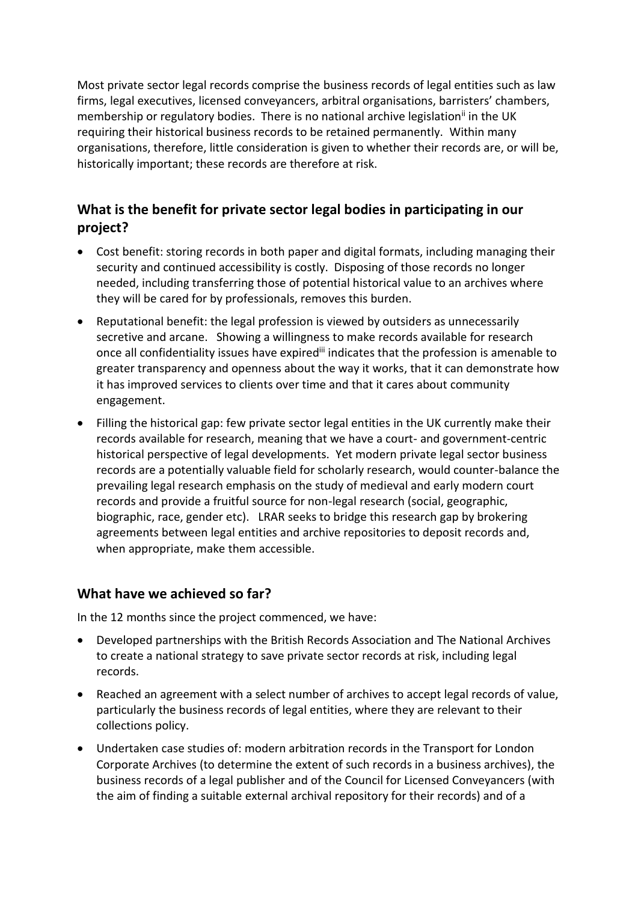Most private sector legal records comprise the business records of legal entities such as law firms, legal executives, licensed conveyancers, arbitral organisations, barristers' chambers, membership or regulatory bodies. There is no national archive legislation<sup>ii</sup> in the UK requiring their historical business records to be retained permanently. Within many organisations, therefore, little consideration is given to whether their records are, or will be, historically important; these records are therefore at risk.

## **What is the benefit for private sector legal bodies in participating in our project?**

- Cost benefit: storing records in both paper and digital formats, including managing their security and continued accessibility is costly. Disposing of those records no longer needed, including transferring those of potential historical value to an archives where they will be cared for by professionals, removes this burden.
- Reputational benefit: the legal profession is viewed by outsiders as unnecessarily secretive and arcane. Showing a willingness to make records available for research once all confidentiality issues have expired<sup>iii</sup> indicates that the profession is amenable to greater transparency and openness about the way it works, that it can demonstrate how it has improved services to clients over time and that it cares about community engagement.
- Filling the historical gap: few private sector legal entities in the UK currently make their records available for research, meaning that we have a court- and government-centric historical perspective of legal developments. Yet modern private legal sector business records are a potentially valuable field for scholarly research, would counter-balance the prevailing legal research emphasis on the study of medieval and early modern court records and provide a fruitful source for non-legal research (social, geographic, biographic, race, gender etc). LRAR seeks to bridge this research gap by brokering agreements between legal entities and archive repositories to deposit records and, when appropriate, make them accessible.

#### **What have we achieved so far?**

In the 12 months since the project commenced, we have:

- Developed partnerships with the British Records Association and The National Archives to create a national strategy to save private sector records at risk, including legal records.
- Reached an agreement with a select number of archives to accept legal records of value, particularly the business records of legal entities, where they are relevant to their collections policy.
- Undertaken case studies of: modern arbitration records in the Transport for London Corporate Archives (to determine the extent of such records in a business archives), the business records of a legal publisher and of the Council for Licensed Conveyancers (with the aim of finding a suitable external archival repository for their records) and of a